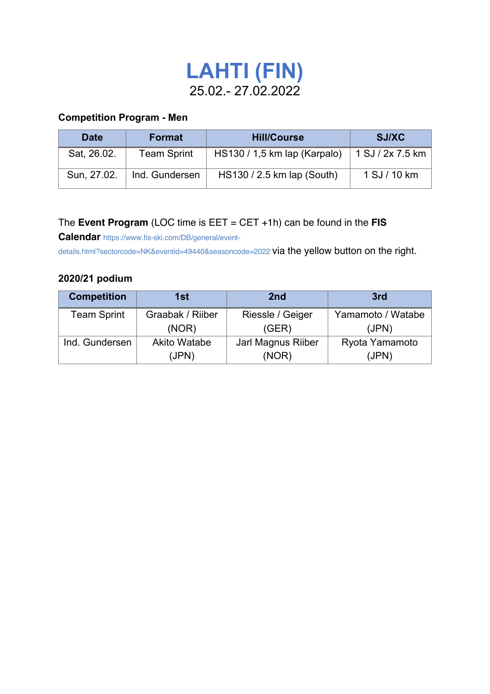# **LAHTI (FIN)** 25.02.- 27.02.2022

## **Competition Program - Men**

| <b>Date</b> | <b>Format</b>  | <b>Hill/Course</b>           | <b>SJ/XC</b>     |
|-------------|----------------|------------------------------|------------------|
| Sat. 26.02. | Team Sprint    | HS130 / 1,5 km lap (Karpalo) | 1 SJ / 2x 7.5 km |
| Sun, 27.02. | Ind. Gundersen | HS130 / 2.5 km lap (South)   | 1 SJ / 10 km     |

## The **Event Program** (LOC time is EET = CET +1h) can be found in the **FIS**

**Calendar** https://www.fis-ski.com/DB/general/event-

details.html?sectorcode=NK&eventid=49440&seasoncode=2022 via the yellow button on the right.

## **2020/21 podium**

| <b>Competition</b> | 1st                 | 2 <sub>nd</sub>    | 3rd               |
|--------------------|---------------------|--------------------|-------------------|
| <b>Team Sprint</b> | Graabak / Riiber    | Riessle / Geiger   | Yamamoto / Watabe |
|                    | (NOR)               | (GER)              | (JPN)             |
| Ind. Gundersen     | <b>Akito Watabe</b> | Jarl Magnus Riiber | Ryota Yamamoto    |
|                    | (JPN)               | (NOR)              | (JPN)             |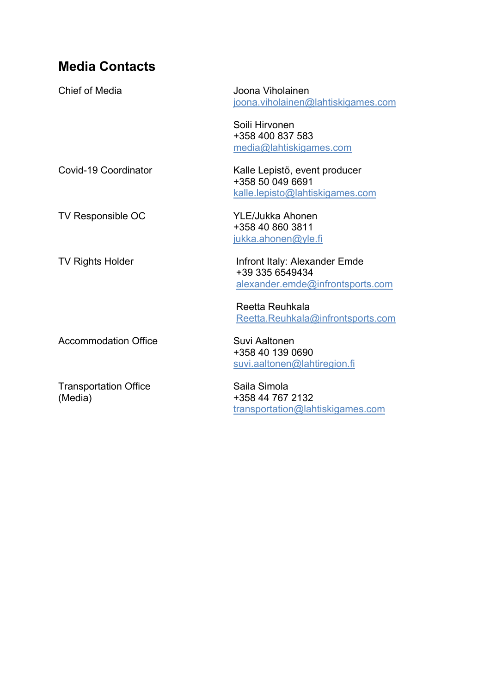## **Media Contacts**

| <b>Chief of Media</b>                   | Joona Viholainen<br>joona.viholainen@lahtiskigames.com                               |
|-----------------------------------------|--------------------------------------------------------------------------------------|
|                                         | Soili Hirvonen<br>+358 400 837 583                                                   |
|                                         | media@lahtiskigames.com                                                              |
| Covid-19 Coordinator                    | Kalle Lepistö, event producer<br>+358 50 049 6691<br>kalle.lepisto@lahtiskigames.com |
|                                         |                                                                                      |
| TV Responsible OC                       | <b>YLE/Jukka Ahonen</b><br>+358 40 860 3811                                          |
|                                         | jukka.ahonen@yle.fi                                                                  |
| <b>TV Rights Holder</b>                 | Infront Italy: Alexander Emde<br>+39 335 6549434<br>alexander.emde@infrontsports.com |
|                                         | Reetta Reuhkala<br>Reetta.Reuhkala@infrontsports.com                                 |
| <b>Accommodation Office</b>             | Suvi Aaltonen<br>+358 40 139 0690<br>suvi.aaltonen@lahtiregion.fi                    |
| <b>Transportation Office</b><br>(Media) | Saila Simola<br>+358 44 767 2132<br>transportation@lahtiskigames.com                 |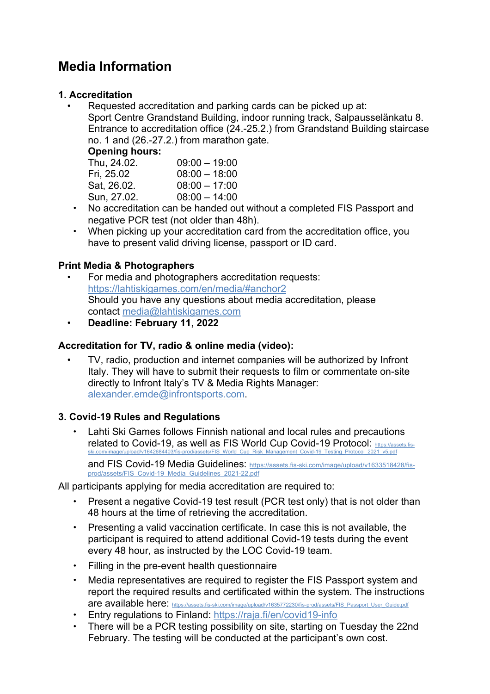## **Media Information**

## **1. Accreditation**

• Requested accreditation and parking cards can be picked up at: Sport Centre Grandstand Building, indoor running track, Salpausselänkatu 8. Entrance to accreditation office (24.-25.2.) from Grandstand Building staircase no. 1 and (26.-27.2.) from marathon gate.

#### **Opening hours:**

| Thu, 24.02. | $09:00 - 19:00$ |
|-------------|-----------------|
| Fri, 25.02  | $08:00 - 18:00$ |
| Sat. 26.02. | $08:00 - 17:00$ |
| Sun, 27.02. | $08:00 - 14:00$ |

- **•** No accreditation can be handed out without a completed FIS Passport and negative PCR test (not older than 48h).
- **•** When picking up your accreditation card from the accreditation office, you have to present valid driving license, passport or ID card.

### **Print Media & Photographers**

- For media and photographers accreditation requests: https://lahtiskigames.com/en/media/#anchor2 Should you have any questions about media accreditation, please contact media@lahtiskigames.com
- **Deadline: February 11, 2022**

## **Accreditation for TV, radio & online media (video):**

• TV, radio, production and internet companies will be authorized by Infront Italy. They will have to submit their requests to film or commentate on-site directly to Infront Italy's TV & Media Rights Manager: alexander.emde@infrontsports.com.

#### **3. Covid-19 Rules and Regulations**

**•** Lahti Ski Games follows Finnish national and local rules and precautions related to Covid-19, as well as FIS World Cup Covid-19 Protocol: https://assets.fisski.com/image/upload/v1642684403/fis-prod/assets/FIS\_World\_Cup\_Risk\_Management\_Covid-19\_Testing\_Protocol\_2021\_v5.pdf and FIS Covid-19 Media Guidelines: https://assets.fis-ski.com/image/upload/v1633518428/fisprod/assets/FIS\_Covid-19\_Media\_Guidelines\_2021-22.pdf

All participants applying for media accreditation are required to:

- **•** Present a negative Covid-19 test result (PCR test only) that is not older than 48 hours at the time of retrieving the accreditation.
- **•** Presenting a valid vaccination certificate. In case this is not available, the participant is required to attend additional Covid-19 tests during the event every 48 hour, as instructed by the LOC Covid-19 team.
- **•** Filling in the pre-event health questionnaire
- **•** Media representatives are required to register the FIS Passport system and report the required results and certificated within the system. The instructions are available here: https://assets.fis-ski.com/image/upload/v1635772230/fis-prod/assets/FIS\_Passport\_User\_Guide.pdf
- **•** Entry regulations to Finland: https://raja.fi/en/covid19-info
- **•** There will be a PCR testing possibility on site, starting on Tuesday the 22nd February. The testing will be conducted at the participant's own cost.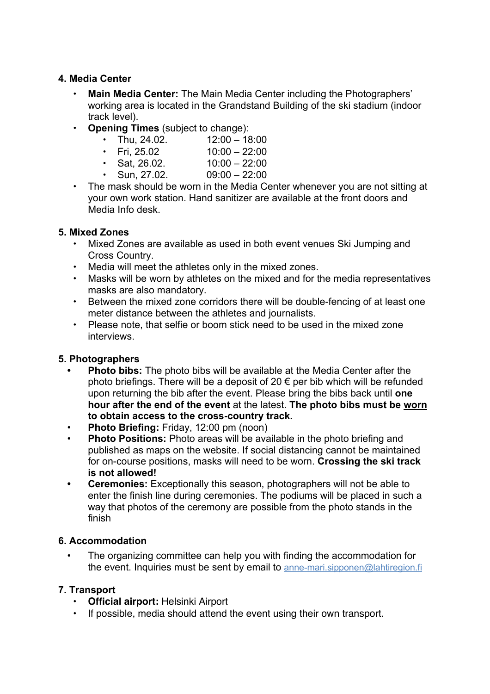## **4. Media Center**

- **• Main Media Center:** The Main Media Center including the Photographers' working area is located in the Grandstand Building of the ski stadium (indoor track level).
- **• Opening Times** (subject to change):

| Thu, 24.02. | $12:00 - 18:00$                                        |
|-------------|--------------------------------------------------------|
| <u>.</u>    | $\lambda$ $\sim$ $\sim$ $\sim$<br>$\sim$ $\sim$ $\sim$ |

- **•** Fri, 25.02 10:00 22:00
- **•** Sat, 26.02. 10:00 22:00
- **•** Sun, 27.02. 09:00 22:00
- **•** The mask should be worn in the Media Center whenever you are not sitting at your own work station. Hand sanitizer are available at the front doors and Media Info desk.

## **5. Mixed Zones**

- **•** Mixed Zones are available as used in both event venues Ski Jumping and Cross Country.
- **•** Media will meet the athletes only in the mixed zones.
- **•** Masks will be worn by athletes on the mixed and for the media representatives masks are also mandatory.
- **•** Between the mixed zone corridors there will be double-fencing of at least one meter distance between the athletes and journalists.
- **•** Please note, that selfie or boom stick need to be used in the mixed zone interviews.

## **5. Photographers**

- **• Photo bibs:** The photo bibs will be available at the Media Center after the photo briefings. There will be a deposit of 20  $\epsilon$  per bib which will be refunded upon returning the bib after the event. Please bring the bibs back until **one hour after the end of the event** at the latest. **The photo bibs must be worn to obtain access to the cross-country track.**
- **Photo Briefing: Friday, 12:00 pm (noon)**
- **Photo Positions:** Photo areas will be available in the photo briefing and published as maps on the website. If social distancing cannot be maintained for on-course positions, masks will need to be worn. **Crossing the ski track is not allowed!**
- **Ceremonies:** Exceptionally this season, photographers will not be able to enter the finish line during ceremonies. The podiums will be placed in such a way that photos of the ceremony are possible from the photo stands in the finish

## **6. Accommodation**

• The organizing committee can help you with finding the accommodation for the event. Inquiries must be sent by email to anne-mari.sipponen@lahtiregion.fi

## **7. Transport**

- **• Official airport:** Helsinki Airport
- **•** If possible, media should attend the event using their own transport.